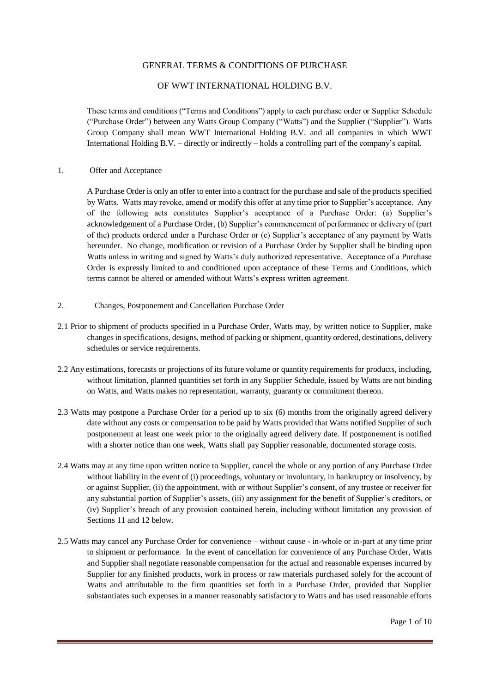# GENERAL TERMS & CONDITIONS OF PURCHASE

# OF WWT INTERNATIONAL HOLDING B.V.

These terms and conditions ("Terms and Conditions") apply to each purchase order or Supplier Schedule ("Purchase Order") between any Watts Group Company ("Watts") and the Supplier ("Supplier"). Watts Group Company shall mean WWT International Holding B.V. and all companies in which WWT International Holding B.V. – directly or indirectly – holds a controlling part of the company's capital.

#### 1. Offer and Acceptance

A Purchase Order is only an offer to enter into a contract for the purchase and sale of the products specified by Watts. Watts may revoke, amend or modify this offer at any time prior to Supplier's acceptance. Any of the following acts constitutes Supplier's acceptance of a Purchase Order: (a) Supplier's acknowledgement of a Purchase Order, (b) Supplier's commencement of performance or delivery of (part of the) products ordered under a Purchase Order or (c) Supplier's acceptance of any payment by Watts hereunder. No change, modification or revision of a Purchase Order by Supplier shall be binding upon Watts unless in writing and signed by Watts's duly authorized representative. Acceptance of a Purchase Order is expressly limited to and conditioned upon acceptance of these Terms and Conditions, which terms cannot be altered or amended without Watts's express written agreement.

- 2. Changes, Postponement and Cancellation Purchase Order
- 2.1 Prior to shipment of products specified in a Purchase Order, Watts may, by written notice to Supplier, make changes in specifications, designs, method of packing or shipment, quantity ordered, destinations, delivery schedules or service requirements.
- 2.2 Any estimations, forecasts or projections of its future volume or quantity requirements for products, including, without limitation, planned quantities set forth in any Supplier Schedule, issued by Watts are not binding on Watts, and Watts makes no representation, warranty, guaranty or commitment thereon.
- 2.3 Watts may postpone a Purchase Order for a period up to six (6) months from the originally agreed delivery date without any costs or compensation to be paid by Watts provided that Watts notified Supplier of such postponement at least one week prior to the originally agreed delivery date. If postponement is notified with a shorter notice than one week, Watts shall pay Supplier reasonable, documented storage costs.
- 2.4 Watts may at any time upon written notice to Supplier, cancel the whole or any portion of any Purchase Order without liability in the event of (i) proceedings, voluntary or involuntary, in bankruptcy or insolvency, by or against Supplier, (ii) the appointment, with or without Supplier's consent, of any trustee or receiver for any substantial portion of Supplier's assets, (iii) any assignment for the benefit of Supplier's creditors, or (iv) Supplier's breach of any provision contained herein, including without limitation any provision of Sections 11 and 12 below.
- 2.5 Watts may cancel any Purchase Order for convenience without cause in-whole or in-part at any time prior to shipment or performance. In the event of cancellation for convenience of any Purchase Order, Watts and Supplier shall negotiate reasonable compensation for the actual and reasonable expenses incurred by Supplier for any finished products, work in process or raw materials purchased solely for the account of Watts and attributable to the firm quantities set forth in a Purchase Order, provided that Supplier substantiates such expenses in a manner reasonably satisfactory to Watts and has used reasonable efforts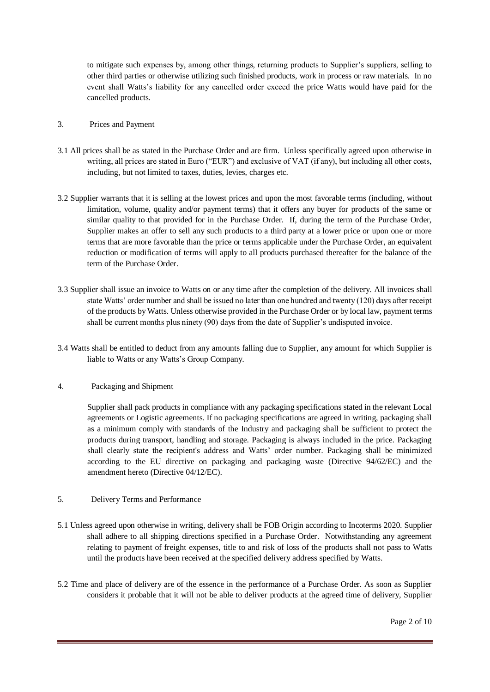to mitigate such expenses by, among other things, returning products to Supplier's suppliers, selling to other third parties or otherwise utilizing such finished products, work in process or raw materials. In no event shall Watts's liability for any cancelled order exceed the price Watts would have paid for the cancelled products.

- 3. Prices and Payment
- 3.1 All prices shall be as stated in the Purchase Order and are firm. Unless specifically agreed upon otherwise in writing, all prices are stated in Euro ("EUR") and exclusive of VAT (if any), but including all other costs, including, but not limited to taxes, duties, levies, charges etc.
- 3.2 Supplier warrants that it is selling at the lowest prices and upon the most favorable terms (including, without limitation, volume, quality and/or payment terms) that it offers any buyer for products of the same or similar quality to that provided for in the Purchase Order. If, during the term of the Purchase Order, Supplier makes an offer to sell any such products to a third party at a lower price or upon one or more terms that are more favorable than the price or terms applicable under the Purchase Order, an equivalent reduction or modification of terms will apply to all products purchased thereafter for the balance of the term of the Purchase Order.
- 3.3 Supplier shall issue an invoice to Watts on or any time after the completion of the delivery. All invoices shall state Watts' order number and shall be issued no later than one hundred and twenty (120) days after receipt of the products by Watts. Unless otherwise provided in the Purchase Order or by local law, payment terms shall be current months plus ninety (90) days from the date of Supplier's undisputed invoice.
- 3.4 Watts shall be entitled to deduct from any amounts falling due to Supplier, any amount for which Supplier is liable to Watts or any Watts's Group Company.
- 4. Packaging and Shipment

Supplier shall pack products in compliance with any packaging specifications stated in the relevant Local agreements or Logistic agreements. If no packaging specifications are agreed in writing, packaging shall as a minimum comply with standards of the Industry and packaging shall be sufficient to protect the products during transport, handling and storage. Packaging is always included in the price. Packaging shall clearly state the recipient's address and Watts' order number. Packaging shall be minimized according to the EU directive on packaging and packaging waste (Directive 94/62/EC) and the amendment hereto (Directive 04/12/EC).

- 5. Delivery Terms and Performance
- 5.1 Unless agreed upon otherwise in writing, delivery shall be FOB Origin according to Incoterms 2020. Supplier shall adhere to all shipping directions specified in a Purchase Order. Notwithstanding any agreement relating to payment of freight expenses, title to and risk of loss of the products shall not pass to Watts until the products have been received at the specified delivery address specified by Watts.
- 5.2 Time and place of delivery are of the essence in the performance of a Purchase Order. As soon as Supplier considers it probable that it will not be able to deliver products at the agreed time of delivery, Supplier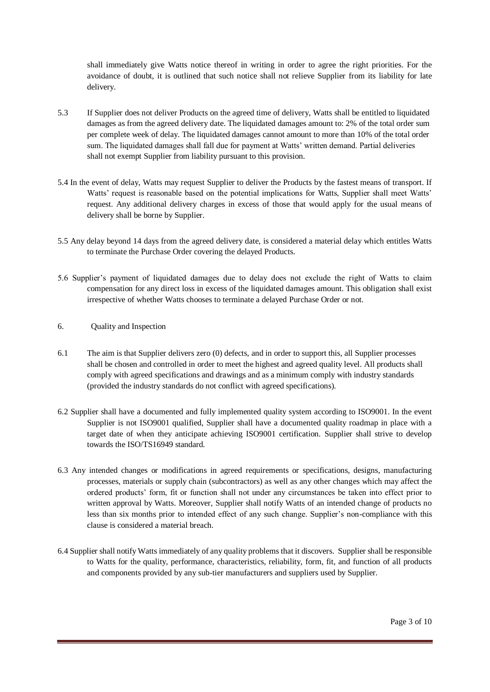shall immediately give Watts notice thereof in writing in order to agree the right priorities. For the avoidance of doubt, it is outlined that such notice shall not relieve Supplier from its liability for late delivery.

- 5.3 If Supplier does not deliver Products on the agreed time of delivery, Watts shall be entitled to liquidated damages as from the agreed delivery date. The liquidated damages amount to: 2% of the total order sum per complete week of delay. The liquidated damages cannot amount to more than 10% of the total order sum. The liquidated damages shall fall due for payment at Watts' written demand. Partial deliveries shall not exempt Supplier from liability pursuant to this provision.
- 5.4 In the event of delay, Watts may request Supplier to deliver the Products by the fastest means of transport. If Watts' request is reasonable based on the potential implications for Watts, Supplier shall meet Watts' request. Any additional delivery charges in excess of those that would apply for the usual means of delivery shall be borne by Supplier.
- 5.5 Any delay beyond 14 days from the agreed delivery date, is considered a material delay which entitles Watts to terminate the Purchase Order covering the delayed Products.
- 5.6 Supplier's payment of liquidated damages due to delay does not exclude the right of Watts to claim compensation for any direct loss in excess of the liquidated damages amount. This obligation shall exist irrespective of whether Watts chooses to terminate a delayed Purchase Order or not.
- 6. Quality and Inspection
- 6.1 The aim is that Supplier delivers zero (0) defects, and in order to support this, all Supplier processes shall be chosen and controlled in order to meet the highest and agreed quality level. All products shall comply with agreed specifications and drawings and as a minimum comply with industry standards (provided the industry standards do not conflict with agreed specifications).
- 6.2 Supplier shall have a documented and fully implemented quality system according to ISO9001. In the event Supplier is not ISO9001 qualified, Supplier shall have a documented quality roadmap in place with a target date of when they anticipate achieving ISO9001 certification. Supplier shall strive to develop towards the ISO/TS16949 standard.
- 6.3 Any intended changes or modifications in agreed requirements or specifications, designs, manufacturing processes, materials or supply chain (subcontractors) as well as any other changes which may affect the ordered products' form, fit or function shall not under any circumstances be taken into effect prior to written approval by Watts. Moreover, Supplier shall notify Watts of an intended change of products no less than six months prior to intended effect of any such change. Supplier's non-compliance with this clause is considered a material breach.
- 6.4 Supplier shall notify Watts immediately of any quality problems that it discovers. Supplier shall be responsible to Watts for the quality, performance, characteristics, reliability, form, fit, and function of all products and components provided by any sub-tier manufacturers and suppliers used by Supplier.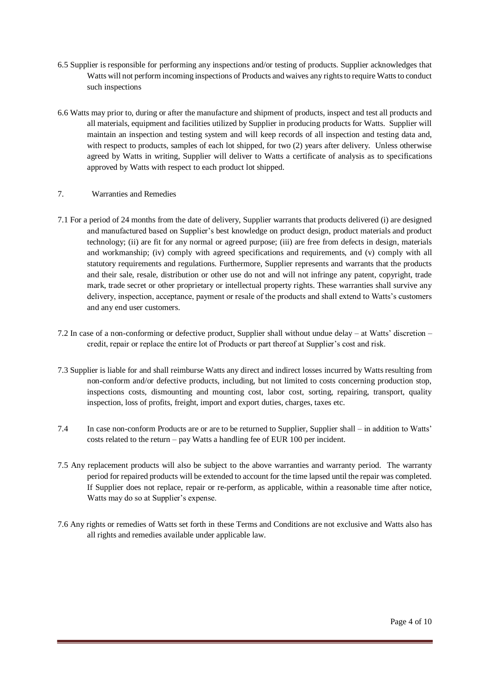- 6.5 Supplier is responsible for performing any inspections and/or testing of products. Supplier acknowledges that Watts will not perform incoming inspections of Products and waives any rights to require Watts to conduct such inspections
- 6.6 Watts may prior to, during or after the manufacture and shipment of products, inspect and test all products and all materials, equipment and facilities utilized by Supplier in producing products for Watts. Supplier will maintain an inspection and testing system and will keep records of all inspection and testing data and, with respect to products, samples of each lot shipped, for two  $(2)$  years after delivery. Unless otherwise agreed by Watts in writing, Supplier will deliver to Watts a certificate of analysis as to specifications approved by Watts with respect to each product lot shipped.

# 7. Warranties and Remedies

- 7.1 For a period of 24 months from the date of delivery, Supplier warrants that products delivered (i) are designed and manufactured based on Supplier's best knowledge on product design, product materials and product technology; (ii) are fit for any normal or agreed purpose; (iii) are free from defects in design, materials and workmanship; (iv) comply with agreed specifications and requirements, and (v) comply with all statutory requirements and regulations. Furthermore, Supplier represents and warrants that the products and their sale, resale, distribution or other use do not and will not infringe any patent, copyright, trade mark, trade secret or other proprietary or intellectual property rights. These warranties shall survive any delivery, inspection, acceptance, payment or resale of the products and shall extend to Watts's customers and any end user customers.
- 7.2 In case of a non-conforming or defective product, Supplier shall without undue delay at Watts' discretion credit, repair or replace the entire lot of Products or part thereof at Supplier's cost and risk.
- 7.3 Supplier is liable for and shall reimburse Watts any direct and indirect losses incurred by Watts resulting from non-conform and/or defective products, including, but not limited to costs concerning production stop, inspections costs, dismounting and mounting cost, labor cost, sorting, repairing, transport, quality inspection, loss of profits, freight, import and export duties, charges, taxes etc.
- 7.4 In case non-conform Products are or are to be returned to Supplier, Supplier shall in addition to Watts' costs related to the return – pay Watts a handling fee of EUR 100 per incident.
- 7.5 Any replacement products will also be subject to the above warranties and warranty period. The warranty period for repaired products will be extended to account for the time lapsed until the repair was completed. If Supplier does not replace, repair or re-perform, as applicable, within a reasonable time after notice, Watts may do so at Supplier's expense.
- 7.6 Any rights or remedies of Watts set forth in these Terms and Conditions are not exclusive and Watts also has all rights and remedies available under applicable law.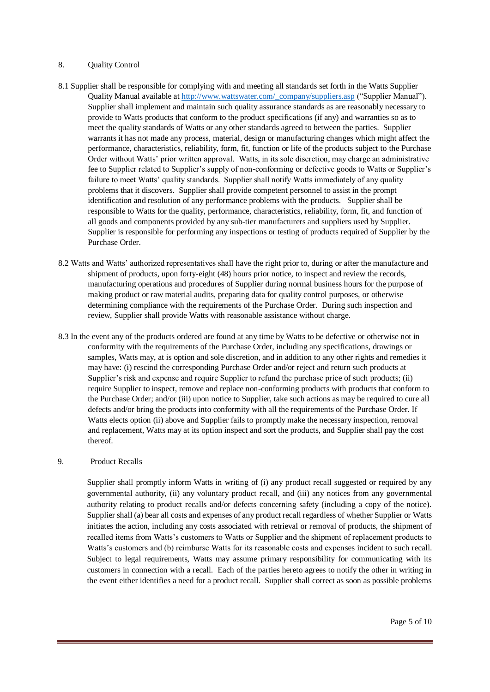#### 8. Quality Control

- 8.1 Supplier shall be responsible for complying with and meeting all standards set forth in the Watts Supplier Quality Manual available a[t http://www.wattswater.com/\\_company/suppliers.asp](http://www.wattswater.com/_company/suppliers.asp) ("Supplier Manual"). Supplier shall implement and maintain such quality assurance standards as are reasonably necessary to provide to Watts products that conform to the product specifications (if any) and warranties so as to meet the quality standards of Watts or any other standards agreed to between the parties. Supplier warrants it has not made any process, material, design or manufacturing changes which might affect the performance, characteristics, reliability, form, fit, function or life of the products subject to the Purchase Order without Watts' prior written approval. Watts, in its sole discretion, may charge an administrative fee to Supplier related to Supplier's supply of non-conforming or defective goods to Watts or Supplier's failure to meet Watts' quality standards. Supplier shall notify Watts immediately of any quality problems that it discovers. Supplier shall provide competent personnel to assist in the prompt identification and resolution of any performance problems with the products. Supplier shall be responsible to Watts for the quality, performance, characteristics, reliability, form, fit, and function of all goods and components provided by any sub-tier manufacturers and suppliers used by Supplier. Supplier is responsible for performing any inspections or testing of products required of Supplier by the Purchase Order.
- 8.2 Watts and Watts' authorized representatives shall have the right prior to, during or after the manufacture and shipment of products, upon forty-eight (48) hours prior notice, to inspect and review the records, manufacturing operations and procedures of Supplier during normal business hours for the purpose of making product or raw material audits, preparing data for quality control purposes, or otherwise determining compliance with the requirements of the Purchase Order. During such inspection and review, Supplier shall provide Watts with reasonable assistance without charge.
- 8.3 In the event any of the products ordered are found at any time by Watts to be defective or otherwise not in conformity with the requirements of the Purchase Order, including any specifications, drawings or samples, Watts may, at is option and sole discretion, and in addition to any other rights and remedies it may have: (i) rescind the corresponding Purchase Order and/or reject and return such products at Supplier's risk and expense and require Supplier to refund the purchase price of such products; (ii) require Supplier to inspect, remove and replace non-conforming products with products that conform to the Purchase Order; and/or (iii) upon notice to Supplier, take such actions as may be required to cure all defects and/or bring the products into conformity with all the requirements of the Purchase Order. If Watts elects option (ii) above and Supplier fails to promptly make the necessary inspection, removal and replacement, Watts may at its option inspect and sort the products, and Supplier shall pay the cost thereof.

#### 9. Product Recalls

Supplier shall promptly inform Watts in writing of (i) any product recall suggested or required by any governmental authority, (ii) any voluntary product recall, and (iii) any notices from any governmental authority relating to product recalls and/or defects concerning safety (including a copy of the notice). Supplier shall (a) bear all costs and expenses of any product recall regardless of whether Supplier or Watts initiates the action, including any costs associated with retrieval or removal of products, the shipment of recalled items from Watts's customers to Watts or Supplier and the shipment of replacement products to Watts's customers and (b) reimburse Watts for its reasonable costs and expenses incident to such recall. Subject to legal requirements, Watts may assume primary responsibility for communicating with its customers in connection with a recall. Each of the parties hereto agrees to notify the other in writing in the event either identifies a need for a product recall. Supplier shall correct as soon as possible problems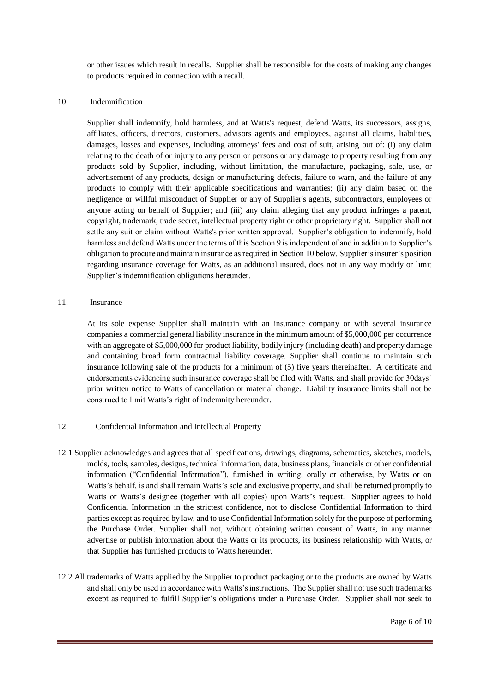or other issues which result in recalls. Supplier shall be responsible for the costs of making any changes to products required in connection with a recall.

#### 10. Indemnification

Supplier shall indemnify, hold harmless, and at Watts's request, defend Watts, its successors, assigns, affiliates, officers, directors, customers, advisors agents and employees, against all claims, liabilities, damages, losses and expenses, including attorneys' fees and cost of suit, arising out of: (i) any claim relating to the death of or injury to any person or persons or any damage to property resulting from any products sold by Supplier, including, without limitation, the manufacture, packaging, sale, use, or advertisement of any products, design or manufacturing defects, failure to warn, and the failure of any products to comply with their applicable specifications and warranties; (ii) any claim based on the negligence or willful misconduct of Supplier or any of Supplier's agents, subcontractors, employees or anyone acting on behalf of Supplier; and (iii) any claim alleging that any product infringes a patent, copyright, trademark, trade secret, intellectual property right or other proprietary right. Supplier shall not settle any suit or claim without Watts's prior written approval. Supplier's obligation to indemnify, hold harmless and defend Watts under the terms of this Section 9 is independent of and in addition to Supplier's obligation to procure and maintain insurance as required in Section 10 below. Supplier's insurer's position regarding insurance coverage for Watts, as an additional insured, does not in any way modify or limit Supplier's indemnification obligations hereunder.

### 11. Insurance

At its sole expense Supplier shall maintain with an insurance company or with several insurance companies a commercial general liability insurance in the minimum amount of \$5,000,000 per occurrence with an aggregate of \$5,000,000 for product liability, bodily injury (including death) and property damage and containing broad form contractual liability coverage. Supplier shall continue to maintain such insurance following sale of the products for a minimum of (5) five years thereinafter. A certificate and endorsements evidencing such insurance coverage shall be filed with Watts, and shall provide for 30days' prior written notice to Watts of cancellation or material change. Liability insurance limits shall not be construed to limit Watts's right of indemnity hereunder.

- 12. Confidential Information and Intellectual Property
- 12.1 Supplier acknowledges and agrees that all specifications, drawings, diagrams, schematics, sketches, models, molds, tools, samples, designs, technical information, data, business plans, financials or other confidential information ("Confidential Information"), furnished in writing, orally or otherwise, by Watts or on Watts's behalf, is and shall remain Watts's sole and exclusive property, and shall be returned promptly to Watts or Watts's designee (together with all copies) upon Watts's request. Supplier agrees to hold Confidential Information in the strictest confidence, not to disclose Confidential Information to third parties except as required by law, and to use Confidential Information solely for the purpose of performing the Purchase Order. Supplier shall not, without obtaining written consent of Watts, in any manner advertise or publish information about the Watts or its products, its business relationship with Watts, or that Supplier has furnished products to Watts hereunder.
- 12.2 All trademarks of Watts applied by the Supplier to product packaging or to the products are owned by Watts and shall only be used in accordance with Watts's instructions. The Supplier shall not use such trademarks except as required to fulfill Supplier's obligations under a Purchase Order. Supplier shall not seek to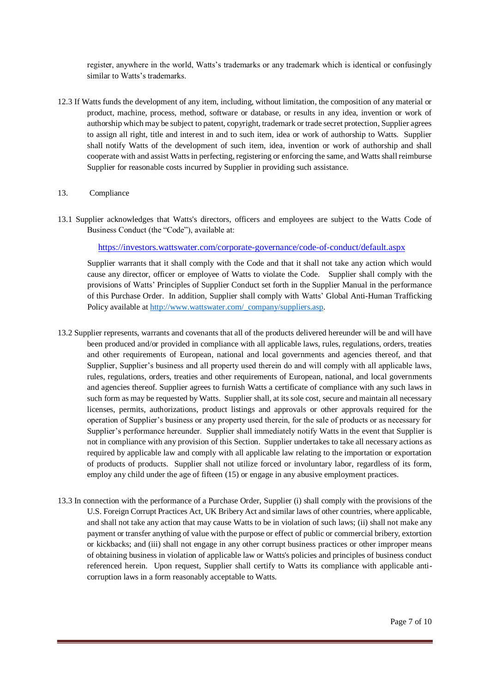register, anywhere in the world, Watts's trademarks or any trademark which is identical or confusingly similar to Watts's trademarks.

- 12.3 If Watts funds the development of any item, including, without limitation, the composition of any material or product, machine, process, method, software or database, or results in any idea, invention or work of authorship which may be subject to patent, copyright, trademark or trade secret protection, Supplier agrees to assign all right, title and interest in and to such item, idea or work of authorship to Watts. Supplier shall notify Watts of the development of such item, idea, invention or work of authorship and shall cooperate with and assist Watts in perfecting, registering or enforcing the same, and Watts shall reimburse Supplier for reasonable costs incurred by Supplier in providing such assistance.
- 13. Compliance
- 13.1 Supplier acknowledges that Watts's directors, officers and employees are subject to the Watts Code of Business Conduct (the "Code"), available at:

https://investors.wattswater.com/corporate-governance/code-of-conduct/default.aspx

Supplier warrants that it shall comply with the Code and that it shall not take any action which would cause any director, officer or employee of Watts to violate the Code. Supplier shall comply with the provisions of Watts' Principles of Supplier Conduct set forth in the Supplier Manual in the performance of this Purchase Order. In addition, Supplier shall comply with Watts' Global Anti-Human Trafficking Policy available a[t http://www.wattswater.com/\\_company/suppliers.asp.](http://www.wattswater.com/_company/suppliers.asp)

- 13.2 Supplier represents, warrants and covenants that all of the products delivered hereunder will be and will have been produced and/or provided in compliance with all applicable laws, rules, regulations, orders, treaties and other requirements of European, national and local governments and agencies thereof, and that Supplier, Supplier's business and all property used therein do and will comply with all applicable laws, rules, regulations, orders, treaties and other requirements of European, national, and local governments and agencies thereof. Supplier agrees to furnish Watts a certificate of compliance with any such laws in such form as may be requested by Watts. Supplier shall, at its sole cost, secure and maintain all necessary licenses, permits, authorizations, product listings and approvals or other approvals required for the operation of Supplier's business or any property used therein, for the sale of products or as necessary for Supplier's performance hereunder. Supplier shall immediately notify Watts in the event that Supplier is not in compliance with any provision of this Section. Supplier undertakes to take all necessary actions as required by applicable law and comply with all applicable law relating to the importation or exportation of products of products. Supplier shall not utilize forced or involuntary labor, regardless of its form, employ any child under the age of fifteen (15) or engage in any abusive employment practices.
- 13.3 In connection with the performance of a Purchase Order, Supplier (i) shall comply with the provisions of the U.S. Foreign Corrupt Practices Act, UK Bribery Act and similar laws of other countries, where applicable, and shall not take any action that may cause Watts to be in violation of such laws; (ii) shall not make any payment or transfer anything of value with the purpose or effect of public or commercial bribery, extortion or kickbacks; and (iii) shall not engage in any other corrupt business practices or other improper means of obtaining business in violation of applicable law or Watts's policies and principles of business conduct referenced herein. Upon request, Supplier shall certify to Watts its compliance with applicable anticorruption laws in a form reasonably acceptable to Watts.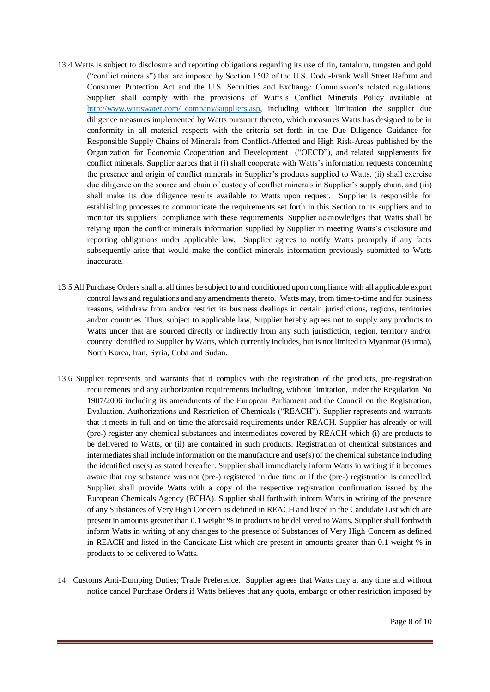- 13.4 Watts is subject to disclosure and reporting obligations regarding its use of tin, tantalum, tungsten and gold ("conflict minerals") that are imposed by Section 1502 of the U.S. Dodd-Frank Wall Street Reform and Consumer Protection Act and the U.S. Securities and Exchange Commission's related regulations. Supplier shall comply with the provisions of Watts's Conflict Minerals Policy available at http://www.wattswater.com/ company/suppliers.asp, including without limitation the supplier due diligence measures implemented by Watts pursuant thereto, which measures Watts has designed to be in conformity in all material respects with the criteria set forth in the Due Diligence Guidance for Responsible Supply Chains of Minerals from Conflict-Affected and High Risk-Areas published by the Organization for Economic Cooperation and Development ("OECD"), and related supplements for conflict minerals. Supplier agrees that it (i) shall cooperate with Watts's information requests concerning the presence and origin of conflict minerals in Supplier's products supplied to Watts, (ii) shall exercise due diligence on the source and chain of custody of conflict minerals in Supplier's supply chain, and (iii) shall make its due diligence results available to Watts upon request. Supplier is responsible for establishing processes to communicate the requirements set forth in this Section to its suppliers and to monitor its suppliers' compliance with these requirements. Supplier acknowledges that Watts shall be relying upon the conflict minerals information supplied by Supplier in meeting Watts's disclosure and reporting obligations under applicable law. Supplier agrees to notify Watts promptly if any facts subsequently arise that would make the conflict minerals information previously submitted to Watts inaccurate.
- 13.5 All Purchase Orders shall at all times be subject to and conditioned upon compliance with all applicable export control laws and regulations and any amendments thereto. Watts may, from time-to-time and for business reasons, withdraw from and/or restrict its business dealings in certain jurisdictions, regions, territories and/or countries. Thus, subject to applicable law, Supplier hereby agrees not to supply any products to Watts under that are sourced directly or indirectly from any such jurisdiction, region, territory and/or country identified to Supplier by Watts, which currently includes, but is not limited to Myanmar (Burma), North Korea, Iran, Syria, Cuba and Sudan.
- 13.6 Supplier represents and warrants that it complies with the registration of the products, pre-registration requirements and any authorization requirements including, without limitation, under the Regulation No 1907/2006 including its amendments of the European Parliament and the Council on the Registration, Evaluation, Authorizations and Restriction of Chemicals ("REACH"). Supplier represents and warrants that it meets in full and on time the aforesaid requirements under REACH. Supplier has already or will (pre-) register any chemical substances and intermediates covered by REACH which (i) are products to be delivered to Watts, or (ii) are contained in such products. Registration of chemical substances and intermediates shall include information on the manufacture and use(s) of the chemical substance including the identified use(s) as stated hereafter. Supplier shall immediately inform Watts in writing if it becomes aware that any substance was not (pre-) registered in due time or if the (pre-) registration is cancelled. Supplier shall provide Watts with a copy of the respective registration confirmation issued by the European Chemicals Agency (ECHA). Supplier shall forthwith inform Watts in writing of the presence of any Substances of Very High Concern as defined in REACH and listed in the Candidate List which are present in amounts greater than 0.1 weight % in products to be delivered to Watts. Supplier shall forthwith inform Watts in writing of any changes to the presence of Substances of Very High Concern as defined in REACH and listed in the Candidate List which are present in amounts greater than 0.1 weight % in products to be delivered to Watts.
- 14. Customs Anti-Dumping Duties; Trade Preference. Supplier agrees that Watts may at any time and without notice cancel Purchase Orders if Watts believes that any quota, embargo or other restriction imposed by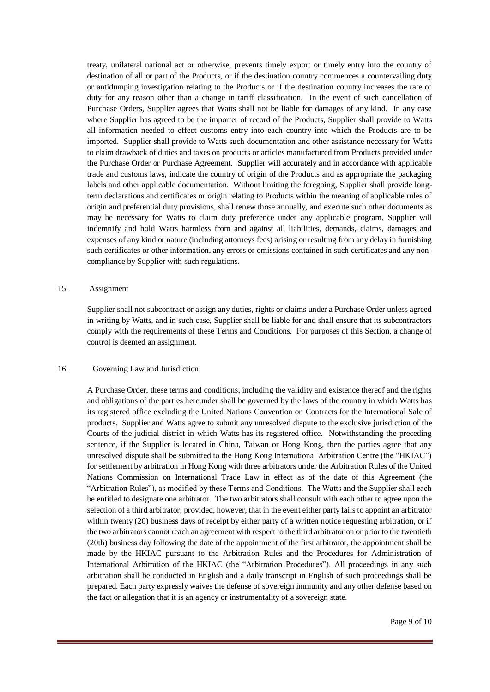treaty, unilateral national act or otherwise, prevents timely export or timely entry into the country of destination of all or part of the Products, or if the destination country commences a countervailing duty or antidumping investigation relating to the Products or if the destination country increases the rate of duty for any reason other than a change in tariff classification. In the event of such cancellation of Purchase Orders, Supplier agrees that Watts shall not be liable for damages of any kind. In any case where Supplier has agreed to be the importer of record of the Products, Supplier shall provide to Watts all information needed to effect customs entry into each country into which the Products are to be imported. Supplier shall provide to Watts such documentation and other assistance necessary for Watts to claim drawback of duties and taxes on products or articles manufactured from Products provided under the Purchase Order or Purchase Agreement. Supplier will accurately and in accordance with applicable trade and customs laws, indicate the country of origin of the Products and as appropriate the packaging labels and other applicable documentation. Without limiting the foregoing, Supplier shall provide longterm declarations and certificates or origin relating to Products within the meaning of applicable rules of origin and preferential duty provisions, shall renew those annually, and execute such other documents as may be necessary for Watts to claim duty preference under any applicable program. Supplier will indemnify and hold Watts harmless from and against all liabilities, demands, claims, damages and expenses of any kind or nature (including attorneys fees) arising or resulting from any delay in furnishing such certificates or other information, any errors or omissions contained in such certificates and any noncompliance by Supplier with such regulations.

#### 15. Assignment

Supplier shall not subcontract or assign any duties, rights or claims under a Purchase Order unless agreed in writing by Watts, and in such case, Supplier shall be liable for and shall ensure that its subcontractors comply with the requirements of these Terms and Conditions. For purposes of this Section, a change of control is deemed an assignment.

### 16. Governing Law and Jurisdiction

A Purchase Order, these terms and conditions, including the validity and existence thereof and the rights and obligations of the parties hereunder shall be governed by the laws of the country in which Watts has its registered office excluding the United Nations Convention on Contracts for the International Sale of products. Supplier and Watts agree to submit any unresolved dispute to the exclusive jurisdiction of the Courts of the judicial district in which Watts has its registered office. Notwithstanding the preceding sentence, if the Supplier is located in China, Taiwan or Hong Kong, then the parties agree that any unresolved dispute shall be submitted to the Hong Kong International Arbitration Centre (the "HKIAC") for settlement by arbitration in Hong Kong with three arbitrators under the Arbitration Rules of the United Nations Commission on International Trade Law in effect as of the date of this Agreement (the "Arbitration Rules"), as modified by these Terms and Conditions. The Watts and the Supplier shall each be entitled to designate one arbitrator. The two arbitrators shall consult with each other to agree upon the selection of a third arbitrator; provided, however, that in the event either party fails to appoint an arbitrator within twenty (20) business days of receipt by either party of a written notice requesting arbitration, or if the two arbitrators cannot reach an agreement with respect to the third arbitrator on or prior to the twentieth (20th) business day following the date of the appointment of the first arbitrator, the appointment shall be made by the HKIAC pursuant to the Arbitration Rules and the Procedures for Administration of International Arbitration of the HKIAC (the "Arbitration Procedures"). All proceedings in any such arbitration shall be conducted in English and a daily transcript in English of such proceedings shall be prepared. Each party expressly waives the defense of sovereign immunity and any other defense based on the fact or allegation that it is an agency or instrumentality of a sovereign state.